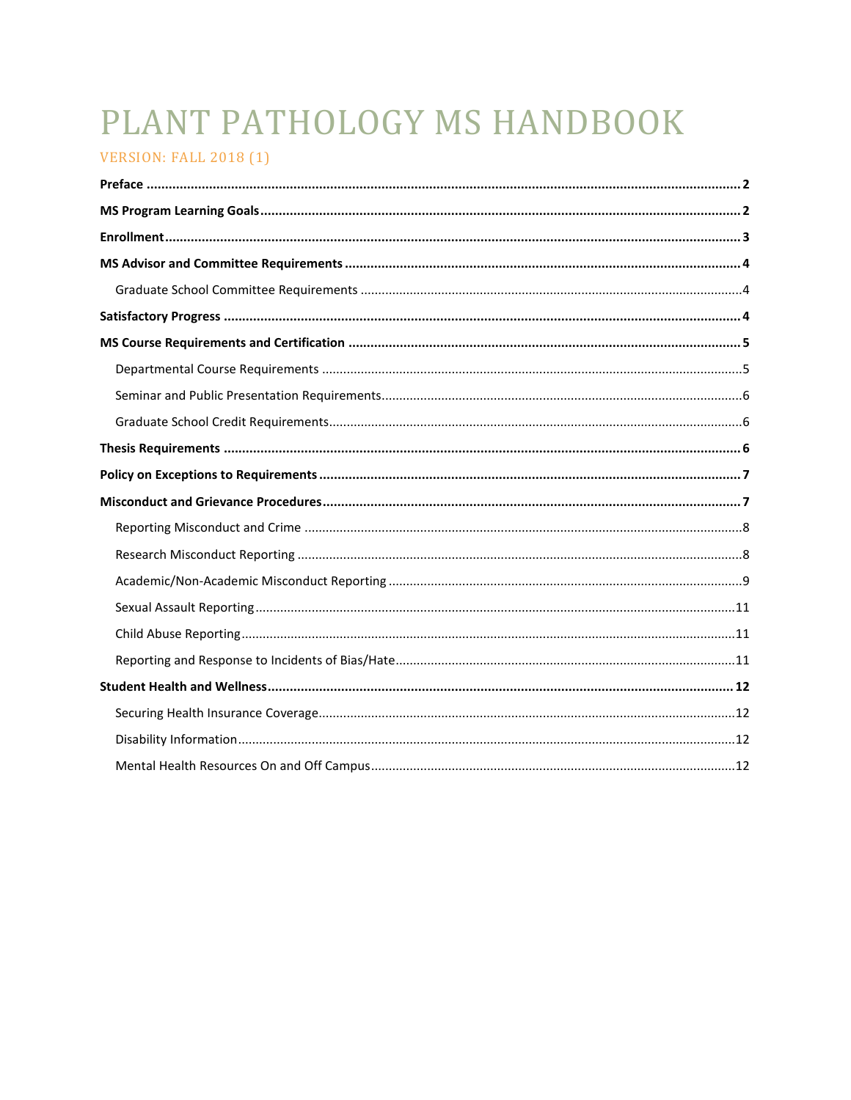# PLANT PATHOLOGY MS HANDBOOK

## VERSION: FALL 2019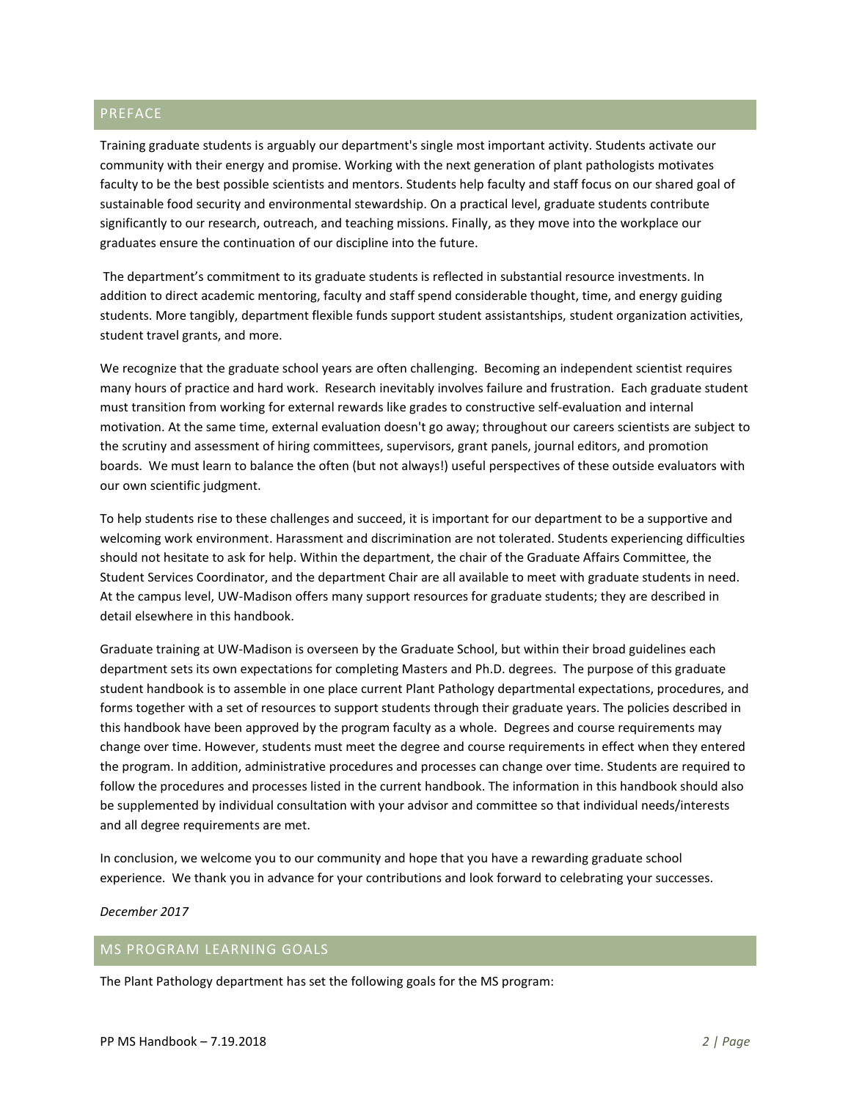## <span id="page-1-0"></span>PREFACE

Training graduate students is arguably our department's single most important activity. Students activate our community with their energy and promise. Working with the next generation of plant pathologists motivates faculty to be the best possible scientists and mentors. Students help faculty and staff focus on our shared goal of sustainable food security and environmental stewardship. On a practical level, graduate students contribute significantly to our research, outreach, and teaching missions. Finally, as they move into the workplace our graduates ensure the continuation of our discipline into the future.

The department's commitment to its graduate students is reflected in substantial resource investments. In addition to direct academic mentoring, faculty and staff spend considerable thought, time, and energy guiding students. More tangibly, department flexible funds support student assistantships, student organization activities, student travel grants, and more.

We recognize that the graduate school years are often challenging. Becoming an independent scientist requires many hours of practice and hard work. Research inevitably involves failure and frustration. Each graduate student must transition from working for external rewards like grades to constructive self-evaluation and internal motivation. At the same time, external evaluation doesn't go away; throughout our careers scientists are subject to the scrutiny and assessment of hiring committees, supervisors, grant panels, journal editors, and promotion boards. We must learn to balance the often (but not always!) useful perspectives of these outside evaluators with our own scientific judgment.

To help students rise to these challenges and succeed, it is important for our department to be a supportive and welcoming work environment. Harassment and discrimination are not tolerated. Students experiencing difficulties should not hesitate to ask for help. Within the department, the chair of the Graduate Affairs Committee, the Student Services Coordinator, and the department Chair are all available to meet with graduate students in need. At the campus level, UW-Madison offers many support resources for graduate students; they are described in detail elsewhere in this handbook.

Graduate training at UW-Madison is overseen by the Graduate School, but within their broad guidelines each department sets its own expectations for completing Masters and Ph.D. degrees. The purpose of this graduate student handbook is to assemble in one place current Plant Pathology departmental expectations, procedures, and forms together with a set of resources to support students through their graduate years. The policies described in this handbook have been approved by the program faculty as a whole. Degrees and course requirements may change over time. However, students must meet the degree and course requirements in effect when they entered the program. In addition, administrative procedures and processes can change over time. Students are required to follow the procedures and processes listed in the current handbook. The information in this handbook should also be supplemented by individual consultation with your advisor and committee so that individual needs/interests and all degree requirements are met.

In conclusion, we welcome you to our community and hope that you have a rewarding graduate school experience. We thank you in advance for your contributions and look forward to celebrating your successes.

*December 2017*

## <span id="page-1-1"></span>MS PROGRAM LEARNING GOALS

The Plant Pathology department has set the following goals for the MS program: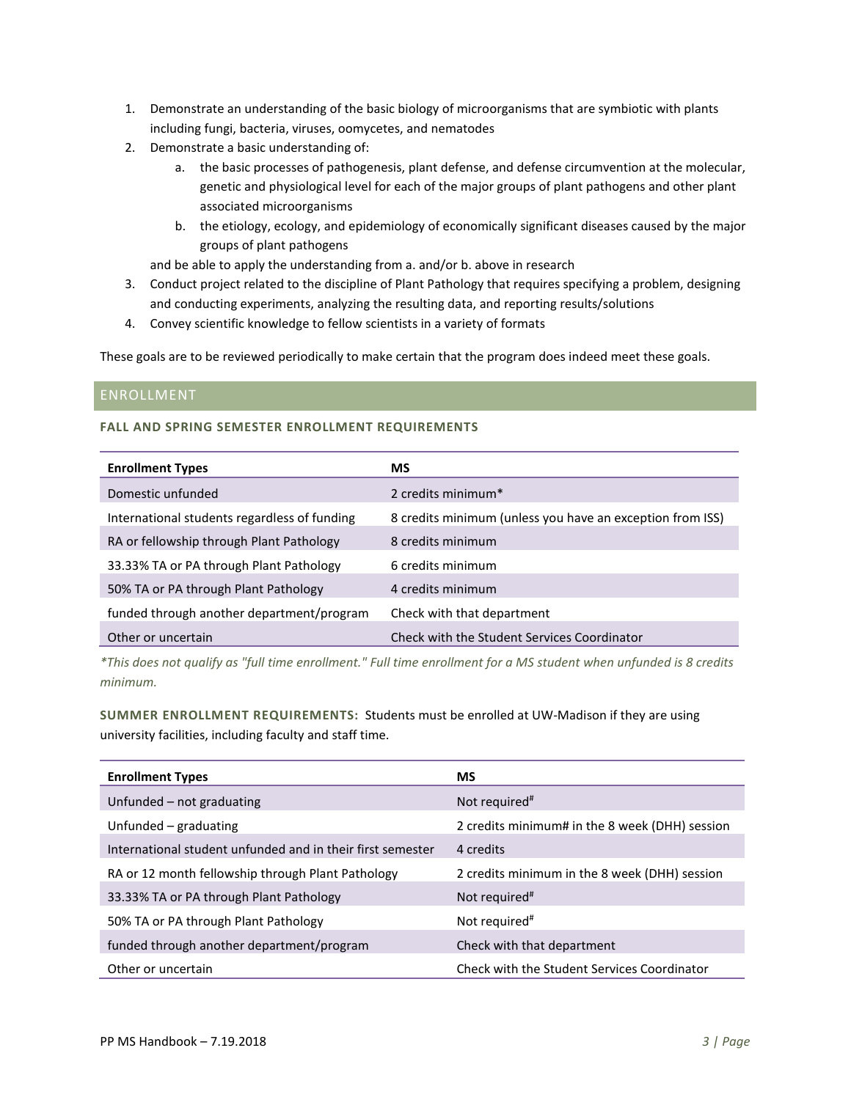- 1. Demonstrate an understanding of the basic biology of microorganisms that are symbiotic with plants including fungi, bacteria, viruses, oomycetes, and nematodes
- 2. Demonstrate a basic understanding of:
	- a. the basic processes of pathogenesis, plant defense, and defense circumvention at the molecular, genetic and physiological level for each of the major groups of plant pathogens and other plant associated microorganisms
	- b. the etiology, ecology, and epidemiology of economically significant diseases caused by the major groups of plant pathogens

and be able to apply the understanding from a. and/or b. above in research

- 3. Conduct project related to the discipline of Plant Pathology that requires specifying a problem, designing and conducting experiments, analyzing the resulting data, and reporting results/solutions
- 4. Convey scientific knowledge to fellow scientists in a variety of formats

These goals are to be reviewed periodically to make certain that the program does indeed meet these goals.

## <span id="page-2-0"></span>ENROLLMENT

#### **FALL AND SPRING SEMESTER ENROLLMENT REQUIREMENTS**

| <b>Enrollment Types</b>                      | <b>MS</b>                                                 |
|----------------------------------------------|-----------------------------------------------------------|
| Domestic unfunded                            | 2 credits minimum*                                        |
| International students regardless of funding | 8 credits minimum (unless you have an exception from ISS) |
| RA or fellowship through Plant Pathology     | 8 credits minimum                                         |
| 33.33% TA or PA through Plant Pathology      | 6 credits minimum                                         |
| 50% TA or PA through Plant Pathology         | 4 credits minimum                                         |
| funded through another department/program    | Check with that department                                |
| Other or uncertain                           | Check with the Student Services Coordinator               |

*\*This does not qualify as "full time enrollment." Full time enrollment for a MS student when unfunded is 8 credits minimum.*

**SUMMER ENROLLMENT REQUIREMENTS:** Students must be enrolled at UW-Madison if they are using university facilities, including faculty and staff time.

| <b>Enrollment Types</b>                                    | <b>MS</b>                                      |
|------------------------------------------------------------|------------------------------------------------|
| Unfunded – not graduating                                  | Not required <sup>#</sup>                      |
| Unfunded – graduating                                      | 2 credits minimum# in the 8 week (DHH) session |
| International student unfunded and in their first semester | 4 credits                                      |
| RA or 12 month fellowship through Plant Pathology          | 2 credits minimum in the 8 week (DHH) session  |
| 33.33% TA or PA through Plant Pathology                    | Not required <sup>#</sup>                      |
| 50% TA or PA through Plant Pathology                       | Not required <sup>#</sup>                      |
| funded through another department/program                  | Check with that department                     |
| Other or uncertain                                         | Check with the Student Services Coordinator    |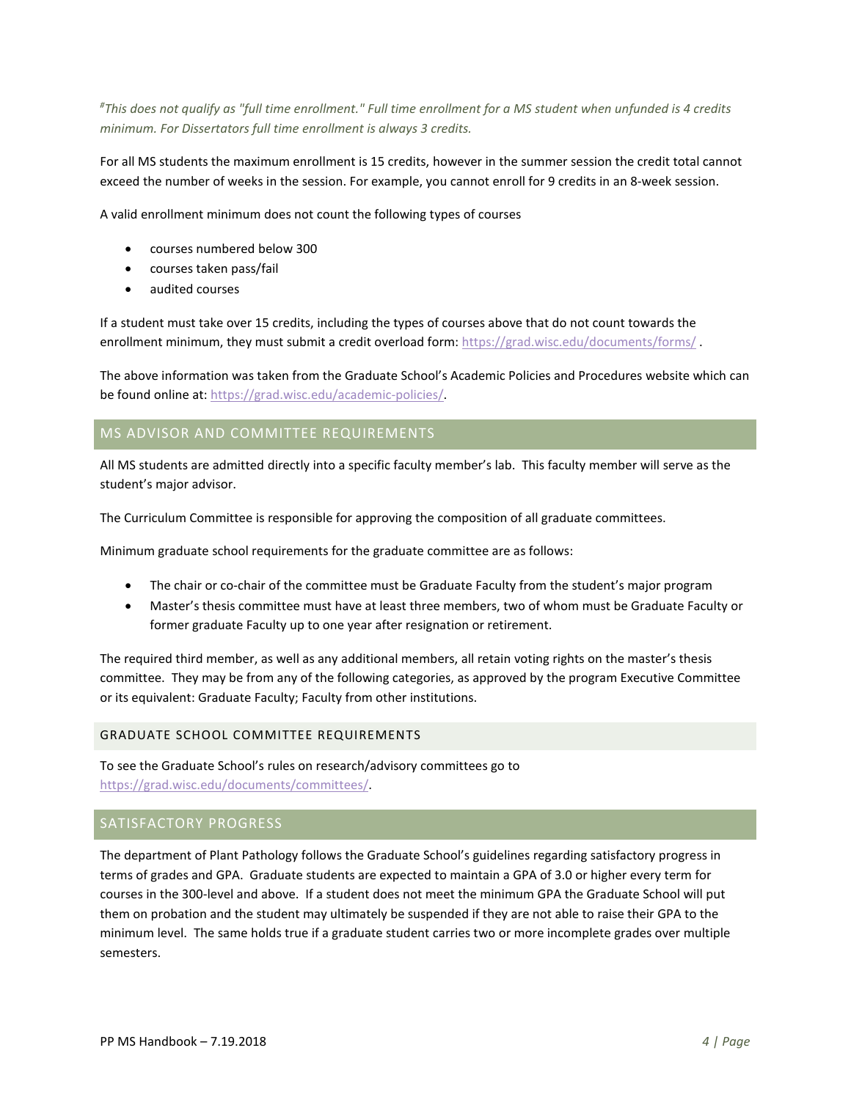*# This does not qualify as "full time enrollment." Full time enrollment for a MS student when unfunded is 4 credits minimum. For Dissertators full time enrollment is always 3 credits.* 

For all MS students the maximum enrollment is 15 credits, however in the summer session the credit total cannot exceed the number of weeks in the session. For example, you cannot enroll for 9 credits in an 8-week session.

A valid enrollment minimum does not count the following types of courses

- courses numbered below 300
- courses taken pass/fail
- audited courses

If a student must take over 15 credits, including the types of courses above that do not count towards the enrollment minimum, they must submit a credit overload form: https://grad.wisc.edu/documents/forms/.

The above information was taken from the Graduate School's Academic Policies and Procedures website which can be found online at: [https://grad.wisc.edu/academic-policies/.](https://grad.wisc.edu/academic-policies/) 

## <span id="page-3-0"></span>MS ADVISOR AND COMMITTEE REQUIREMENTS

All MS students are admitted directly into a specific faculty member's lab. This faculty member will serve as the student's major advisor.

The Curriculum Committee is responsible for approving the composition of all graduate committees.

Minimum graduate school requirements for the graduate committee are as follows:

- The chair or co-chair of the committee must be Graduate Faculty from the student's major program
- Master's thesis committee must have at least three members, two of whom must be Graduate Faculty or former graduate Faculty up to one year after resignation or retirement.

The required third member, as well as any additional members, all retain voting rights on the master's thesis committee. They may be from any of the following categories, as approved by the program Executive Committee or its equivalent: Graduate Faculty; Faculty from other institutions.

#### <span id="page-3-1"></span>GRADUATE SCHOOL COMMITTEE REQUIREMENTS

To see the Graduate School's rules on research/advisory committees go to [https://grad.wisc.edu/documents/committees/.](https://grad.wisc.edu/documents/committees/)

## <span id="page-3-2"></span>SATISFACTORY PROGRESS

The department of Plant Pathology follows the Graduate School's guidelines regarding satisfactory progress in terms of grades and GPA. Graduate students are expected to maintain a GPA of 3.0 or higher every term for courses in the 300-level and above. If a student does not meet the minimum GPA the Graduate School will put them on probation and the student may ultimately be suspended if they are not able to raise their GPA to the minimum level. The same holds true if a graduate student carries two or more incomplete grades over multiple semesters.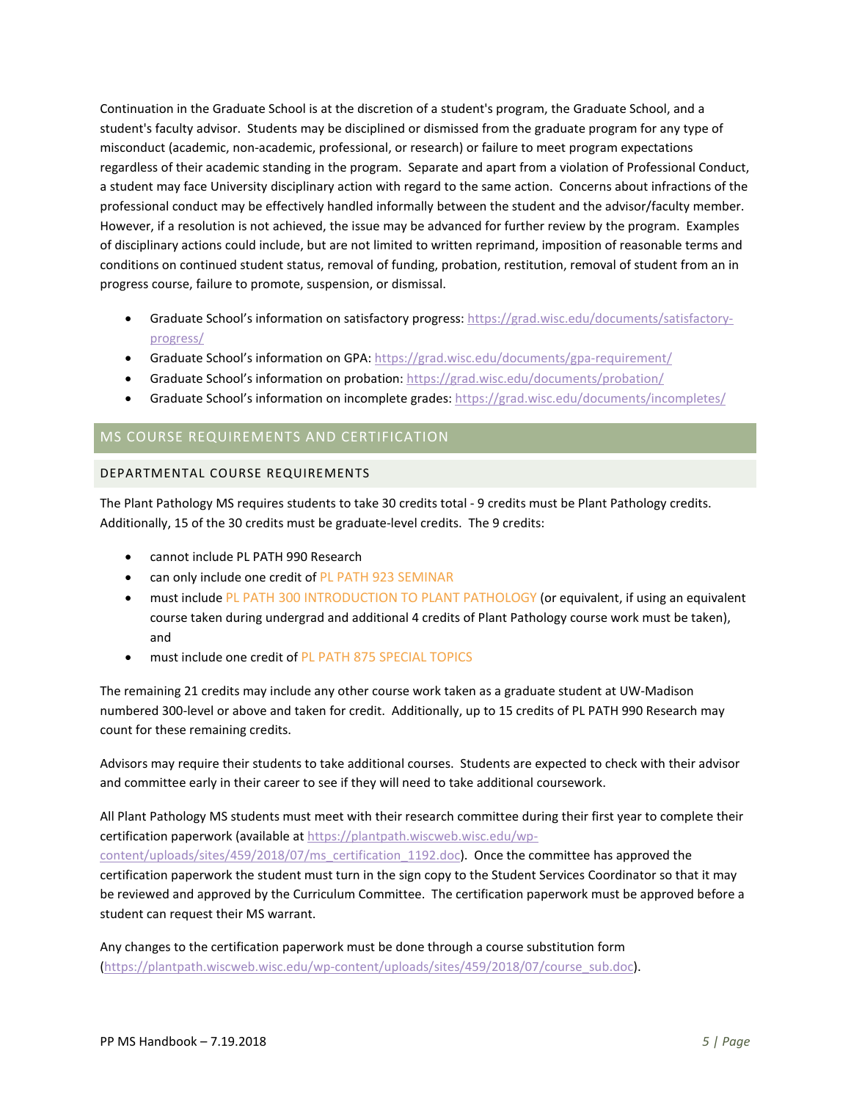Continuation in the Graduate School is at the discretion of a student's program, the Graduate School, and a student's faculty advisor. Students may be disciplined or dismissed from the graduate program for any type of misconduct (academic, non-academic, professional, or research) or failure to meet program expectations regardless of their academic standing in the program. Separate and apart from a violation of Professional Conduct, a student may face University disciplinary action with regard to the same action. Concerns about infractions of the professional conduct may be effectively handled informally between the student and the advisor/faculty member. However, if a resolution is not achieved, the issue may be advanced for further review by the program. Examples of disciplinary actions could include, but are not limited to written reprimand, imposition of reasonable terms and conditions on continued student status, removal of funding, probation, restitution, removal of student from an in progress course, failure to promote, suspension, or dismissal.

- Graduate School's information on satisfactory progress: [https://grad.wisc.edu/documents/satisfactory](https://grad.wisc.edu/documents/satisfactory-progress/)[progress/](https://grad.wisc.edu/documents/satisfactory-progress/)
- Graduate School's information on GPA: <https://grad.wisc.edu/documents/gpa-requirement/>
- Graduate School's information on probation: <https://grad.wisc.edu/documents/probation/>
- Graduate School's information on incomplete grades: <https://grad.wisc.edu/documents/incompletes/>

## <span id="page-4-0"></span>MS COURSE REQUIREMENTS AND CERTIFICATION

#### <span id="page-4-1"></span>DEPARTMENTAL COURSE REQUIREMENTS

The Plant Pathology MS requires students to take 30 credits total - 9 credits must be Plant Pathology credits. Additionally, 15 of the 30 credits must be graduate-level credits. The 9 credits:

- cannot include PL PATH 990 Research
- can only include one credit of PL PATH 923 SEMINAR
- must include PL PATH 300 INTRODUCTION TO PLANT PATHOLOGY (or equivalent, if using an equivalent course taken during undergrad and additional 4 credits of Plant Pathology course work must be taken), and
- must include one credit of PL PATH 875 SPECIAL TOPICS

The remaining 21 credits may include any other course work taken as a graduate student at UW-Madison numbered 300-level or above and taken for credit. Additionally, up to 15 credits of PL PATH 990 Research may count for these remaining credits.

Advisors may require their students to take additional courses. Students are expected to check with their advisor and committee early in their career to see if they will need to take additional coursework.

All Plant Pathology MS students must meet with their research committee during their first year to complete their certification paperwork (available at [https://plantpath.wiscweb.wisc.edu/wp](https://plantpath.wiscweb.wisc.edu/wp-content/uploads/sites/459/2018/07/ms_certification_1192.doc)[content/uploads/sites/459/2018/07/ms\\_certification\\_1192.doc\)](https://plantpath.wiscweb.wisc.edu/wp-content/uploads/sites/459/2018/07/ms_certification_1192.doc). Once the committee has approved the certification paperwork the student must turn in the sign copy to the Student Services Coordinator so that it may be reviewed and approved by the Curriculum Committee. The certification paperwork must be approved before a student can request their MS warrant.

Any changes to the certification paperwork must be done through a course substitution form [\(https://plantpath.wiscweb.wisc.edu/wp-content/uploads/sites/459/2018/07/course\\_sub.doc\)](https://plantpath.wiscweb.wisc.edu/wp-content/uploads/sites/459/2018/07/course_sub.doc).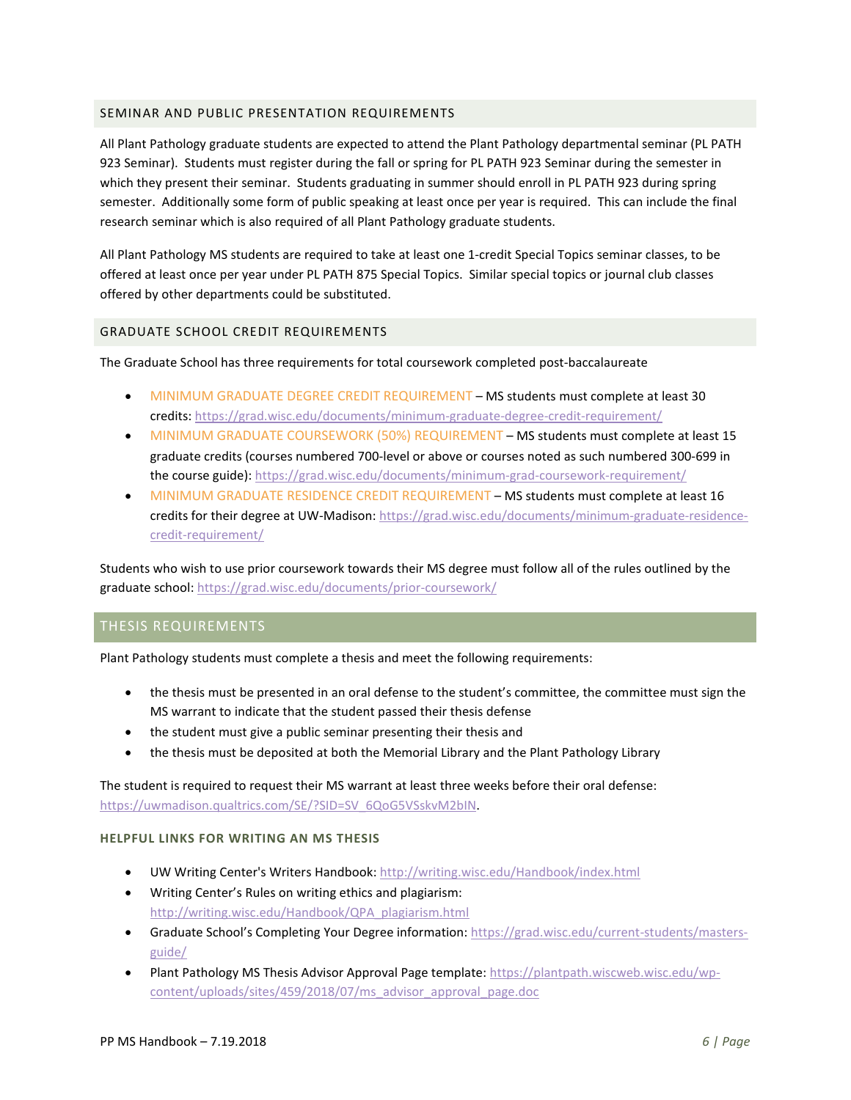#### <span id="page-5-0"></span>SEMINAR AND PUBLIC PRESENTATION REQUIREMENTS

All Plant Pathology graduate students are expected to attend the Plant Pathology departmental seminar (PL PATH 923 Seminar). Students must register during the fall or spring for PL PATH 923 Seminar during the semester in which they present their seminar. Students graduating in summer should enroll in PL PATH 923 during spring semester. Additionally some form of public speaking at least once per year is required. This can include the final research seminar which is also required of all Plant Pathology graduate students.

All Plant Pathology MS students are required to take at least one 1-credit Special Topics seminar classes, to be offered at least once per year under PL PATH 875 Special Topics. Similar special topics or journal club classes offered by other departments could be substituted.

#### <span id="page-5-1"></span>GRADUATE SCHOOL CREDIT REQUIREMENTS

The Graduate School has three requirements for total coursework completed post-baccalaureate

- MINIMUM GRADUATE DEGREE CREDIT REQUIREMENT MS students must complete at least 30 credits[: https://grad.wisc.edu/documents/minimum-graduate-degree-credit-requirement/](https://grad.wisc.edu/documents/minimum-graduate-degree-credit-requirement/)
- MINIMUM GRADUATE COURSEWORK (50%) REQUIREMENT MS students must complete at least 15 graduate credits (courses numbered 700-level or above or courses noted as such numbered 300-699 in the course guide)[: https://grad.wisc.edu/documents/minimum-grad-coursework-requirement/](https://grad.wisc.edu/documents/minimum-grad-coursework-requirement/)
- MINIMUM GRADUATE RESIDENCE CREDIT REQUIREMENT MS students must complete at least 16 credits for their degree at UW-Madison: [https://grad.wisc.edu/documents/minimum-graduate-residence](https://grad.wisc.edu/documents/minimum-graduate-residence-credit-requirement/)[credit-requirement/](https://grad.wisc.edu/documents/minimum-graduate-residence-credit-requirement/)

Students who wish to use prior coursework towards their MS degree must follow all of the rules outlined by the graduate school:<https://grad.wisc.edu/documents/prior-coursework/>

## <span id="page-5-2"></span>THESIS REQUIREMENTS

Plant Pathology students must complete a thesis and meet the following requirements:

- the thesis must be presented in an oral defense to the student's committee, the committee must sign the MS warrant to indicate that the student passed their thesis defense
- the student must give a public seminar presenting their thesis and
- the thesis must be deposited at both the Memorial Library and the Plant Pathology Library

The student is required to request their MS warrant at least three weeks before their oral defense: [https://uwmadison.qualtrics.com/SE/?SID=SV\\_6QoG5VSskvM2bIN.](https://uwmadison.qualtrics.com/SE/?SID=SV_6QoG5VSskvM2bIN)

## **HELPFUL LINKS FOR WRITING AN MS THESIS**

- UW Writing Center's Writers Handbook[: http://writing.wisc.edu/Handbook/index.html](http://writing.wisc.edu/Handbook/index.html)
- Writing Center's Rules on writing ethics and plagiarism: [http://writing.wisc.edu/Handbook/QPA\\_plagiarism.html](http://writing.wisc.edu/Handbook/QPA_plagiarism.html)
- Graduate School's Completing Your Degree information: [https://grad.wisc.edu/current-students/masters](https://grad.wisc.edu/current-students/masters-guide/)[guide/](https://grad.wisc.edu/current-students/masters-guide/)
- Plant Pathology MS Thesis Advisor Approval Page template[: https://plantpath.wiscweb.wisc.edu/wp](https://plantpath.wiscweb.wisc.edu/wp-content/uploads/sites/459/2018/07/ms_advisor_approval_page.doc)[content/uploads/sites/459/2018/07/ms\\_advisor\\_approval\\_page.doc](https://plantpath.wiscweb.wisc.edu/wp-content/uploads/sites/459/2018/07/ms_advisor_approval_page.doc)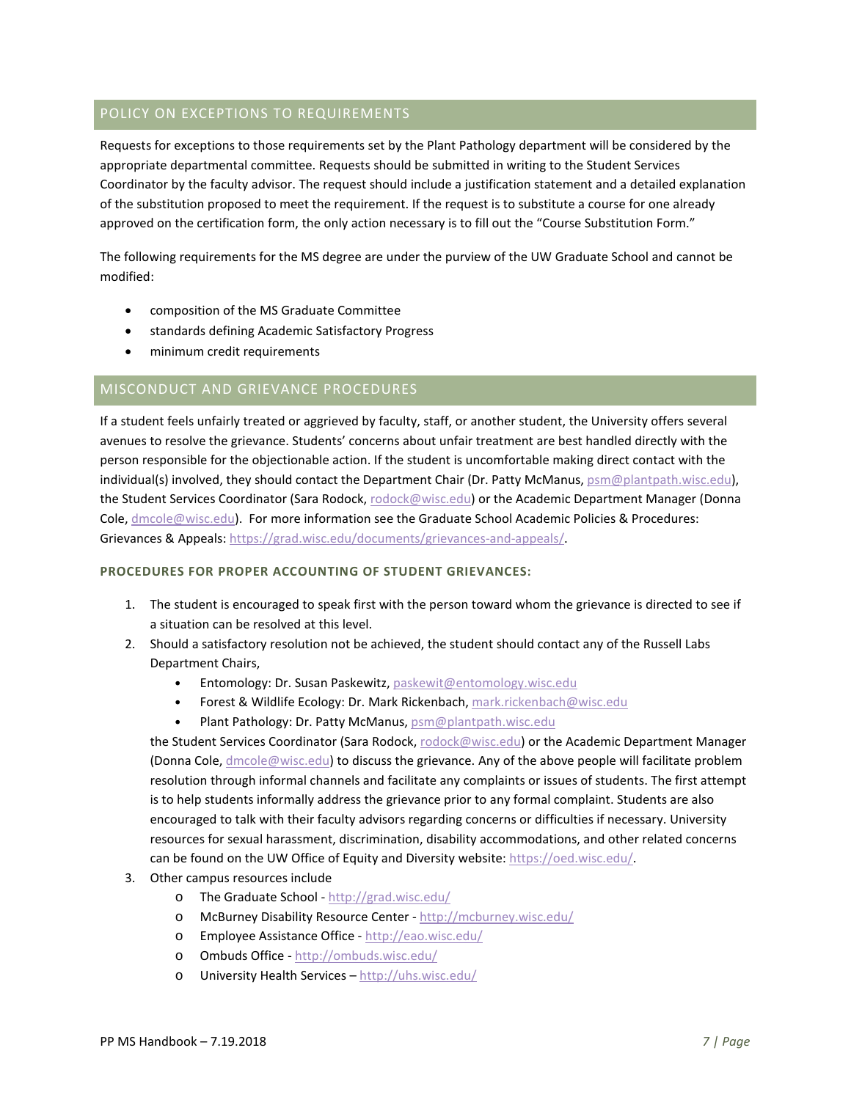## <span id="page-6-0"></span>POLICY ON EXCEPTIONS TO REQUIREMENTS

Requests for exceptions to those requirements set by the Plant Pathology department will be considered by the appropriate departmental committee. Requests should be submitted in writing to the Student Services Coordinator by the faculty advisor. The request should include a justification statement and a detailed explanation of the substitution proposed to meet the requirement. If the request is to substitute a course for one already approved on the certification form, the only action necessary is to fill out the "Course Substitution Form."

The following requirements for the MS degree are under the purview of the UW Graduate School and cannot be modified:

- composition of the MS Graduate Committee
- standards defining Academic Satisfactory Progress  $\bullet$
- minimum credit requirements  $\bullet$

## <span id="page-6-1"></span>MISCONDUCT AND GRIEVANCE PROCEDURES

If a student feels unfairly treated or aggrieved by faculty, staff, or another student, the University offers several avenues to resolve the grievance. Students' concerns about unfair treatment are best handled directly with the person responsible for the objectionable action. If the student is uncomfortable making direct contact with the individual(s) involved, they should contact the Department Chair (Dr. Amanda Gevens,

gevens@plantpath.wisc.edu), the Student Services Coordinator (Todd Courtenay, todd.courtenay@wisc.edu) or the Department Manager (Alyson Amenda, amenda@wisc.edu). For more information see the Graduate School Academic Policies & Procedures: Grievances & Appeals: https://grad.wisc.edu/documents/grievances-andappeals/.

#### PROCEDURES FOR PROPER ACCOUNTING OF STUDENT GRIEVANCES:

- 1. The student is encouraged to speak first with the person toward whom the grievance is directed to see if a situation can be resolved at this level.
- 2. Should a satisfactory resolution not be achieved, the student should contact any of the Russell Labs Department Chairs,
	- Entomology: Dr. Susan Paskewitz, paskewit@entomology.wisc.edu  $\bullet$
	- Forest & Wildlife Ecology: Dr. Eric Kruger, elkruger@wisc.edu
	- Plant Pathology: Dr. Amanda Gevens, gevens@plantpath.wisc.edu  $\bullet$

the Student Services Coordinator (Todd Courtenay, todd.courtenay@wisc.edu) or the Department Manager (Alyson Amenda, amenda@wisc.edu) to discuss the grievance. Any of the above people will facilitate problem resolution through informal channels and facilitate any complaints or issues of students. The first attempt is to help students informally address the grievance prior to any formal complaint. Students are also encouraged to talk with their faculty advisors regarding concerns or difficulties if necessary. University resources for sexual harassment, discrimination, disability accommodations, and other related concerns can be found on the UW Office of Equity and Diversity

- 3. @thesitearhttus r/e/sour ceis include
	- o The Graduate School http://grad.wisc.edu/
	- McBurney Disability Resource Center http://mcburney.wisc.edu/  $\Omega$
	- o Employee Assistance Office http://eao.wisc.edu/
	- o Ombuds Office http://ombuds.wisc.edu/
	- University Health Services http://uhs.wisc.edu/  $\circ$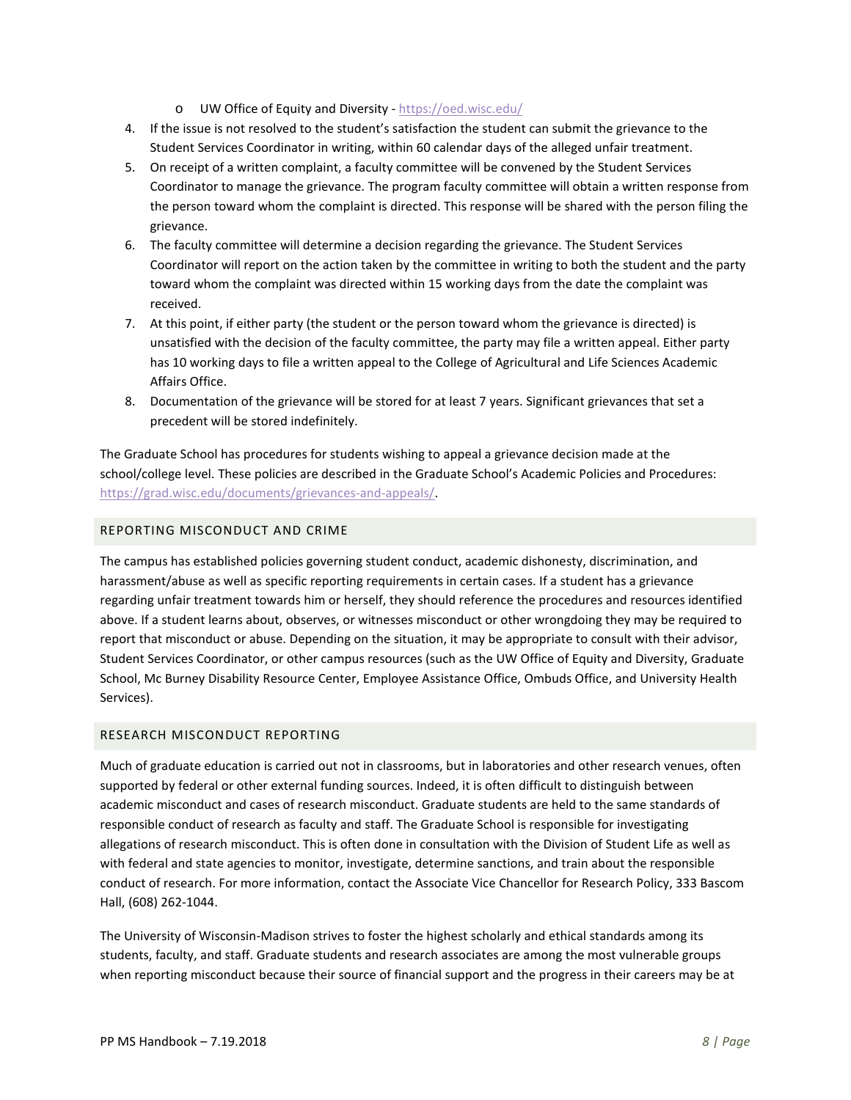- o UW Office of Equity and Diversity -<https://oed.wisc.edu/>
- 4. If the issue is not resolved to the student's satisfaction the student can submit the grievance to the Student Services Coordinator in writing, within 60 calendar days of the alleged unfair treatment.
- 5. On receipt of a written complaint, a faculty committee will be convened by the Student Services Coordinator to manage the grievance. The program faculty committee will obtain a written response from the person toward whom the complaint is directed. This response will be shared with the person filing the grievance.
- 6. The faculty committee will determine a decision regarding the grievance. The Student Services Coordinator will report on the action taken by the committee in writing to both the student and the party toward whom the complaint was directed within 15 working days from the date the complaint was received.
- 7. At this point, if either party (the student or the person toward whom the grievance is directed) is unsatisfied with the decision of the faculty committee, the party may file a written appeal. Either party has 10 working days to file a written appeal to the College of Agricultural and Life Sciences Academic Affairs Office.
- 8. Documentation of the grievance will be stored for at least 7 years. Significant grievances that set a precedent will be stored indefinitely.

The Graduate School has procedures for students wishing to appeal a grievance decision made at the school/college level. These policies are described in the Graduate School's Academic Policies and Procedures: [https://grad.wisc.edu/documents/grievances-and-appeals/.](https://grad.wisc.edu/documents/grievances-and-appeals/)

## <span id="page-7-0"></span>REPORTING MISCONDUCT AND CRIME

The campus has established policies governing student conduct, academic dishonesty, discrimination, and harassment/abuse as well as specific reporting requirements in certain cases. If a student has a grievance regarding unfair treatment towards him or herself, they should reference the procedures and resources identified above. If a student learns about, observes, or witnesses misconduct or other wrongdoing they may be required to report that misconduct or abuse. Depending on the situation, it may be appropriate to consult with their advisor, Student Services Coordinator, or other campus resources (such as the UW Office of Equity and Diversity, Graduate School, Mc Burney Disability Resource Center, Employee Assistance Office, Ombuds Office, and University Health Services).

## <span id="page-7-1"></span>RESEARCH MISCONDUCT REPORTING

Much of graduate education is carried out not in classrooms, but in laboratories and other research venues, often supported by federal or other external funding sources. Indeed, it is often difficult to distinguish between academic misconduct and cases of research misconduct. Graduate students are held to the same standards of responsible conduct of research as faculty and staff. The Graduate School is responsible for investigating allegations of research misconduct. This is often done in consultation with the Division of Student Life as well as with federal and state agencies to monitor, investigate, determine sanctions, and train about the responsible conduct of research. For more information, contact the Associate Vice Chancellor for Research Policy, 333 Bascom Hall, (608) 262-1044.

The University of Wisconsin-Madison strives to foster the highest scholarly and ethical standards among its students, faculty, and staff. Graduate students and research associates are among the most vulnerable groups when reporting misconduct because their source of financial support and the progress in their careers may be at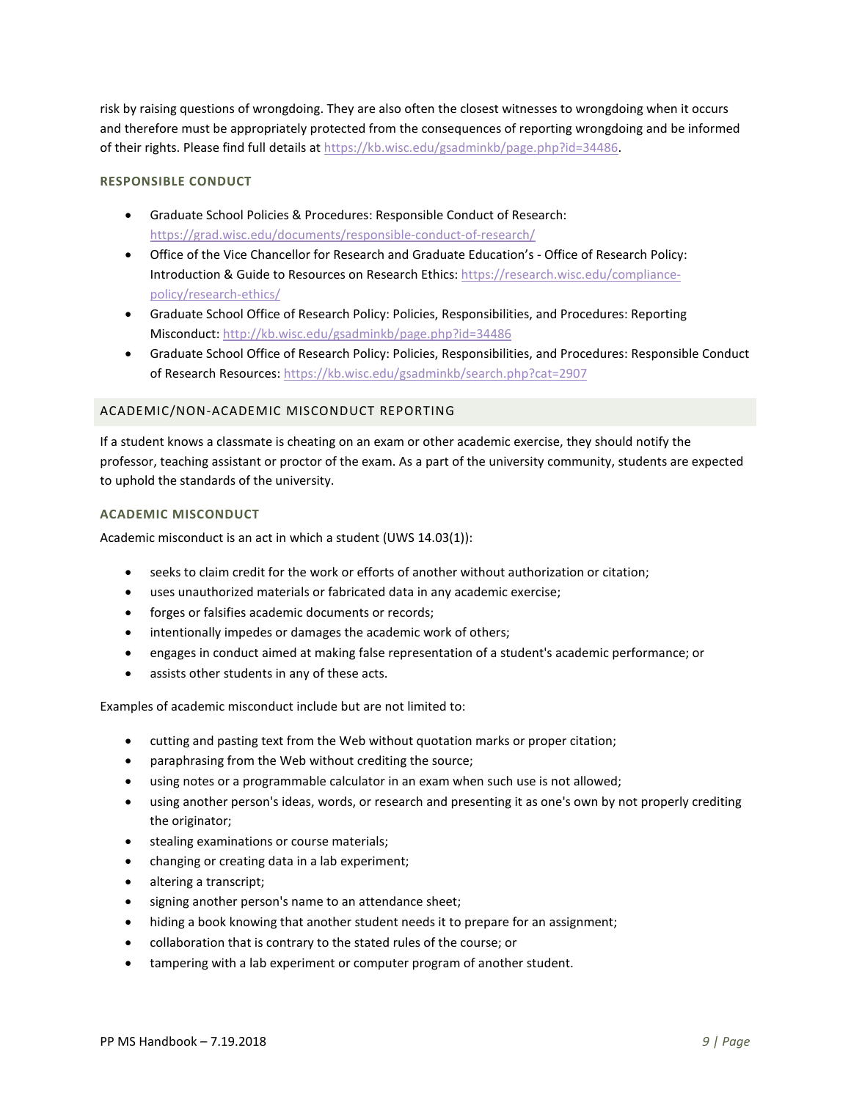risk by raising questions of wrongdoing. They are also often the closest witnesses to wrongdoing when it occurs and therefore must be appropriately protected from the consequences of reporting wrongdoing and be informed of their rights. Please find full details at [https://kb.wisc.edu/gsadminkb/page.php?id=34486.](https://kb.wisc.edu/gsadminkb/page.php?id=34486)

## **RESPONSIBLE CONDUCT**

- Graduate School Policies & Procedures: Responsible Conduct of Research: <https://grad.wisc.edu/documents/responsible-conduct-of-research/>
- Office of the Vice Chancellor for Research and Graduate Education's Office of Research Policy: Introduction & Guide to Resources on Research Ethics: [https://research.wisc.edu/compliance](https://research.wisc.edu/compliance-policy/research-ethics/)[policy/research-ethics/](https://research.wisc.edu/compliance-policy/research-ethics/)
- Graduate School Office of Research Policy: Policies, Responsibilities, and Procedures: Reporting Misconduct[: http://kb.wisc.edu/gsadminkb/page.php?id=34486](http://kb.wisc.edu/gsadminkb/page.php?id=34486)
- Graduate School Office of Research Policy: Policies, Responsibilities, and Procedures: Responsible Conduct of Research Resources:<https://kb.wisc.edu/gsadminkb/search.php?cat=2907>

#### <span id="page-8-0"></span>ACADEMIC/NON-ACADEMIC MISCONDUCT REPORTING

If a student knows a classmate is cheating on an exam or other academic exercise, they should notify the professor, teaching assistant or proctor of the exam. As a part of the university community, students are expected to uphold the standards of the university.

#### **ACADEMIC MISCONDUCT**

Academic misconduct is an act in which a student (UWS 14.03(1)):

- seeks to claim credit for the work or efforts of another without authorization or citation;
- uses unauthorized materials or fabricated data in any academic exercise;
- forges or falsifies academic documents or records;
- intentionally impedes or damages the academic work of others;
- engages in conduct aimed at making false representation of a student's academic performance; or
- assists other students in any of these acts.

Examples of academic misconduct include but are not limited to:

- cutting and pasting text from the Web without quotation marks or proper citation;
- paraphrasing from the Web without crediting the source;
- using notes or a programmable calculator in an exam when such use is not allowed;
- using another person's ideas, words, or research and presenting it as one's own by not properly crediting the originator;
- stealing examinations or course materials;
- changing or creating data in a lab experiment;
- altering a transcript;
- signing another person's name to an attendance sheet;
- hiding a book knowing that another student needs it to prepare for an assignment;
- collaboration that is contrary to the stated rules of the course; or
- tampering with a lab experiment or computer program of another student.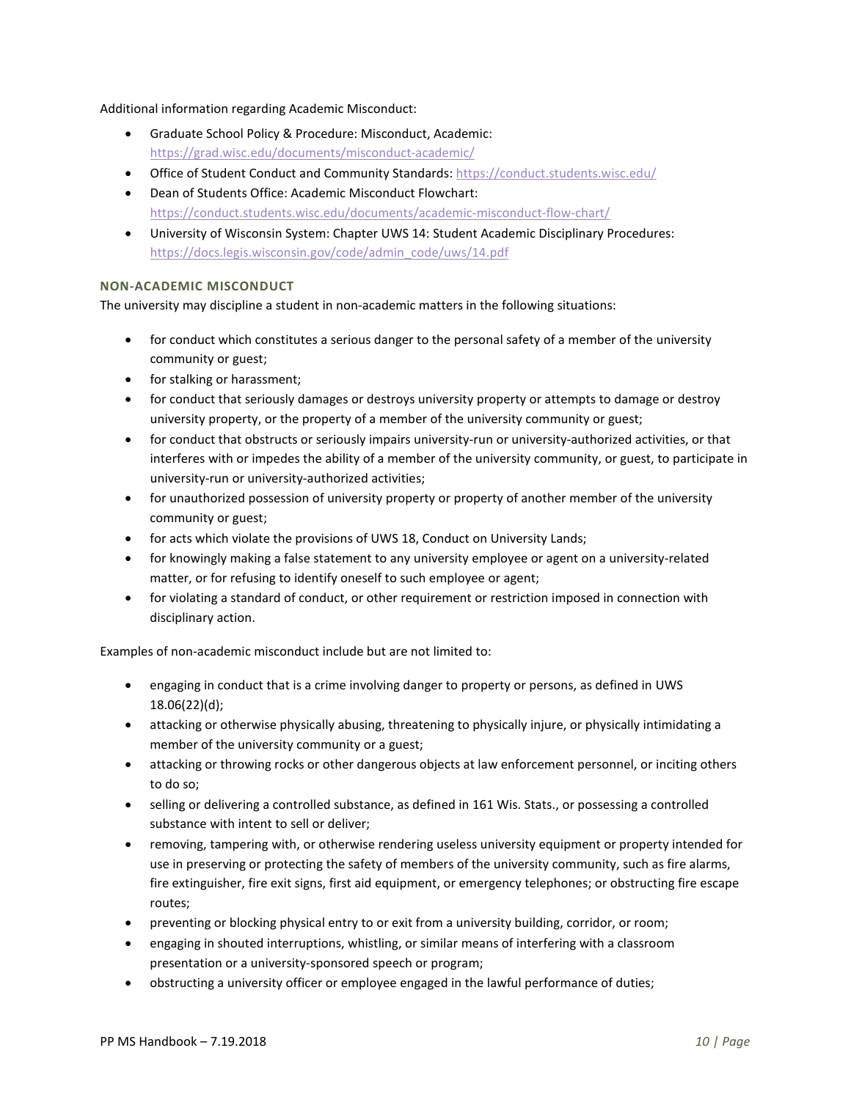Additional information regarding Academic Misconduct:

- Graduate School Policy & Procedure: Misconduct, Academic: <https://grad.wisc.edu/documents/misconduct-academic/>
- Office of Student Conduct and Community Standards:<https://conduct.students.wisc.edu/>
- Dean of Students Office: Academic Misconduct Flowchart: <https://conduct.students.wisc.edu/documents/academic-misconduct-flow-chart/>
- University of Wisconsin System: Chapter UWS 14: Student Academic Disciplinary Procedures: [https://docs.legis.wisconsin.gov/code/admin\\_code/uws/14.pdf](https://docs.legis.wisconsin.gov/code/admin_code/uws/14.pdf)

## **NON-ACADEMIC MISCONDUCT**

The university may discipline a student in non-academic matters in the following situations:

- for conduct which constitutes a serious danger to the personal safety of a member of the university community or guest;
- for stalking or harassment;
- for conduct that seriously damages or destroys university property or attempts to damage or destroy university property, or the property of a member of the university community or guest;
- for conduct that obstructs or seriously impairs university-run or university-authorized activities, or that interferes with or impedes the ability of a member of the university community, or guest, to participate in university-run or university-authorized activities;
- for unauthorized possession of university property or property of another member of the university community or guest;
- for acts which violate the provisions of UWS 18, Conduct on University Lands;
- for knowingly making a false statement to any university employee or agent on a university-related matter, or for refusing to identify oneself to such employee or agent;
- for violating a standard of conduct, or other requirement or restriction imposed in connection with disciplinary action.

Examples of non-academic misconduct include but are not limited to:

- engaging in conduct that is a crime involving danger to property or persons, as defined in UWS 18.06(22)(d);
- attacking or otherwise physically abusing, threatening to physically injure, or physically intimidating a member of the university community or a guest;
- attacking or throwing rocks or other dangerous objects at law enforcement personnel, or inciting others to do so;
- selling or delivering a controlled substance, as defined in 161 Wis. Stats., or possessing a controlled substance with intent to sell or deliver;
- removing, tampering with, or otherwise rendering useless university equipment or property intended for use in preserving or protecting the safety of members of the university community, such as fire alarms, fire extinguisher, fire exit signs, first aid equipment, or emergency telephones; or obstructing fire escape routes;
- preventing or blocking physical entry to or exit from a university building, corridor, or room;
- engaging in shouted interruptions, whistling, or similar means of interfering with a classroom presentation or a university-sponsored speech or program;
- obstructing a university officer or employee engaged in the lawful performance of duties;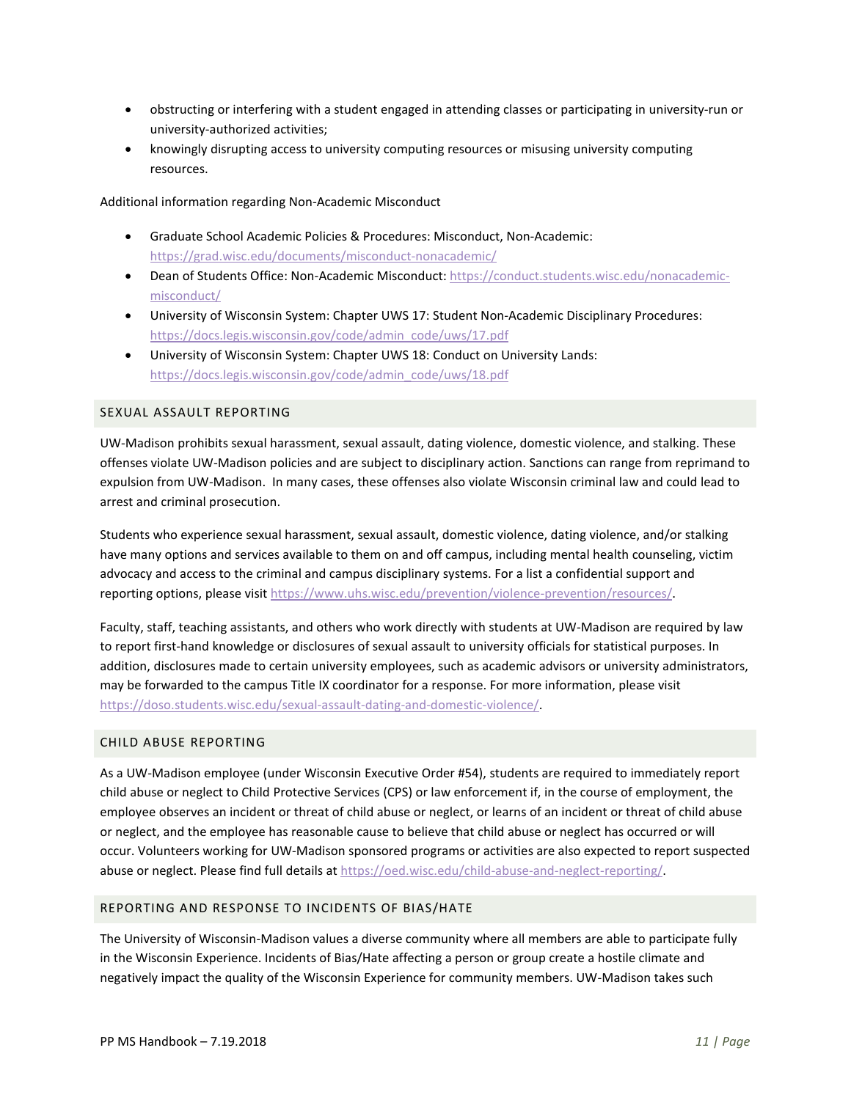- obstructing or interfering with a student engaged in attending classes or participating in university-run or university-authorized activities;
- knowingly disrupting access to university computing resources or misusing university computing resources.

Additional information regarding Non-Academic Misconduct

- Graduate School Academic Policies & Procedures: Misconduct, Non-Academic: <https://grad.wisc.edu/documents/misconduct-nonacademic/>
- Dean of Students Office: Non-Academic Misconduct: [https://conduct.students.wisc.edu/nonacademic](https://conduct.students.wisc.edu/nonacademic-misconduct/)[misconduct/](https://conduct.students.wisc.edu/nonacademic-misconduct/)
- University of Wisconsin System: Chapter UWS 17: Student Non-Academic Disciplinary Procedures: [https://docs.legis.wisconsin.gov/code/admin\\_code/uws/17.pdf](https://docs.legis.wisconsin.gov/code/admin_code/uws/17.pdf)
- University of Wisconsin System: Chapter UWS 18: Conduct on University Lands: [https://docs.legis.wisconsin.gov/code/admin\\_code/uws/18.pdf](https://docs.legis.wisconsin.gov/code/admin_code/uws/18.pdf)

#### <span id="page-10-0"></span>SEXUAL ASSAULT REPORTING

UW-Madison prohibits sexual harassment, sexual assault, dating violence, domestic violence, and stalking. These offenses violate UW-Madison policies and are subject to disciplinary action. Sanctions can range from reprimand to expulsion from UW-Madison. In many cases, these offenses also violate Wisconsin criminal law and could lead to arrest and criminal prosecution.

Students who experience sexual harassment, sexual assault, domestic violence, dating violence, and/or stalking have many options and services available to them on and off campus, including mental health counseling, victim advocacy and access to the criminal and campus disciplinary systems. For a list a confidential support and reporting options, please visit [https://www.uhs.wisc.edu/prevention/violence-prevention/resources/.](https://www.uhs.wisc.edu/prevention/violence-prevention/resources/)

Faculty, staff, teaching assistants, and others who work directly with students at UW-Madison are required by law to report first-hand knowledge or disclosures of sexual assault to university officials for statistical purposes. In addition, disclosures made to certain university employees, such as academic advisors or university administrators, may be forwarded to the campus Title IX coordinator for a response. For more information, please visit [https://doso.students.wisc.edu/sexual-assault-dating-and-domestic-violence/.](https://doso.students.wisc.edu/sexual-assault-dating-and-domestic-violence/)

#### <span id="page-10-1"></span>CHILD ABUSE REPORTING

As a UW-Madison employee (under Wisconsin Executive Order #54), students are required to immediately report child abuse or neglect to Child Protective Services (CPS) or law enforcement if, in the course of employment, the employee observes an incident or threat of child abuse or neglect, or learns of an incident or threat of child abuse or neglect, and the employee has reasonable cause to believe that child abuse or neglect has occurred or will occur. Volunteers working for UW-Madison sponsored programs or activities are also expected to report suspected abuse or neglect. Please find full details at [https://oed.wisc.edu/child-abuse-and-neglect-reporting/.](https://oed.wisc.edu/child-abuse-and-neglect-reporting/)

#### <span id="page-10-2"></span>REPORTING AND RESPONSE TO INCIDENTS OF BIAS/HATE

The University of Wisconsin-Madison values a diverse community where all members are able to participate fully in the Wisconsin Experience. Incidents of Bias/Hate affecting a person or group create a hostile climate and negatively impact the quality of the Wisconsin Experience for community members. UW-Madison takes such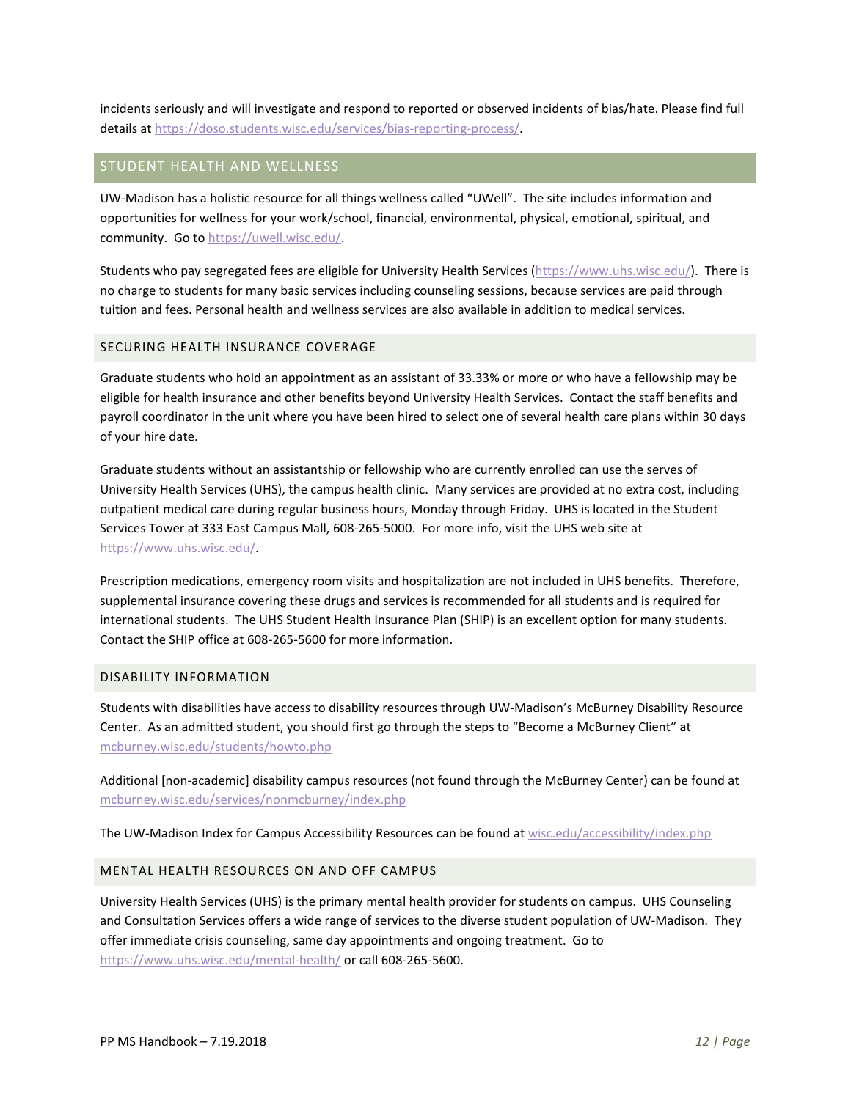incidents seriously and will investigate and respond to reported or observed incidents of bias/hate. Please find full details a[t https://doso.students.wisc.edu/services/bias-reporting-process/.](https://doso.students.wisc.edu/services/bias-reporting-process/)

## <span id="page-11-0"></span>STUDENT HEALTH AND WELLNESS

UW-Madison has a holistic resource for all things wellness called "UWell". The site includes information and opportunities for wellness for your work/school, financial, environmental, physical, emotional, spiritual, and community. Go to [https://uwell.wisc.edu/.](https://uwell.wisc.edu/)

Students who pay segregated fees are eligible for University Health Services [\(https://www.uhs.wisc.edu/\)](https://www.uhs.wisc.edu/). There is no charge to students for many basic services including counseling sessions, because services are paid through tuition and fees. Personal health and wellness services are also available in addition to medical services.

## <span id="page-11-1"></span>SECURING HEALTH INSURANCE COVERAGE

Graduate students who hold an appointment as an assistant of 33.33% or more or who have a fellowship may be eligible for health insurance and other benefits beyond University Health Services. Contact the staff benefits and payroll coordinator in the unit where you have been hired to select one of several health care plans within 30 days of your hire date.

Graduate students without an assistantship or fellowship who are currently enrolled can use the serves of University Health Services (UHS), the campus health clinic. Many services are provided at no extra cost, including outpatient medical care during regular business hours, Monday through Friday. UHS is located in the Student Services Tower at 333 East Campus Mall, 608-265-5000. For more info, visit the UHS web site at [https://www.uhs.wisc.edu/.](https://www.uhs.wisc.edu/)

Prescription medications, emergency room visits and hospitalization are not included in UHS benefits. Therefore, supplemental insurance covering these drugs and services is recommended for all students and is required for international students. The UHS Student Health Insurance Plan (SHIP) is an excellent option for many students. Contact the SHIP office at 608-265-5600 for more information.

## <span id="page-11-2"></span>DISABILITY INFORMATION

Students with disabilities have access to disability resources through UW-Madison's McBurney Disability Resource Center. As an admitted student, you should first go through the steps to "Become a McBurney Client" at [mcburney.wisc.edu/students/howto.php](http://www.mcburney.wisc.edu/students/howto.php)

Additional [non-academic] disability campus resources (not found through the McBurney Center) can be found at [mcburney.wisc.edu/services/nonmcburney/index.php](http://www.mcburney.wisc.edu/services/nonmcburney/index.php)

The UW-Madison Index for Campus Accessibility Resources can be found at [wisc.edu/accessibility/index.php](http://www.wisc.edu/accessibility/index.php)

#### <span id="page-11-3"></span>MENTAL HEALTH RESOURCES ON AND OFF CAMPUS

University Health Services (UHS) is the primary mental health provider for students on campus. UHS Counseling and Consultation Services offers a wide range of services to the diverse student population of UW-Madison. They offer immediate crisis counseling, same day appointments and ongoing treatment. Go to <https://www.uhs.wisc.edu/mental-health/> or call 608-265-5600.